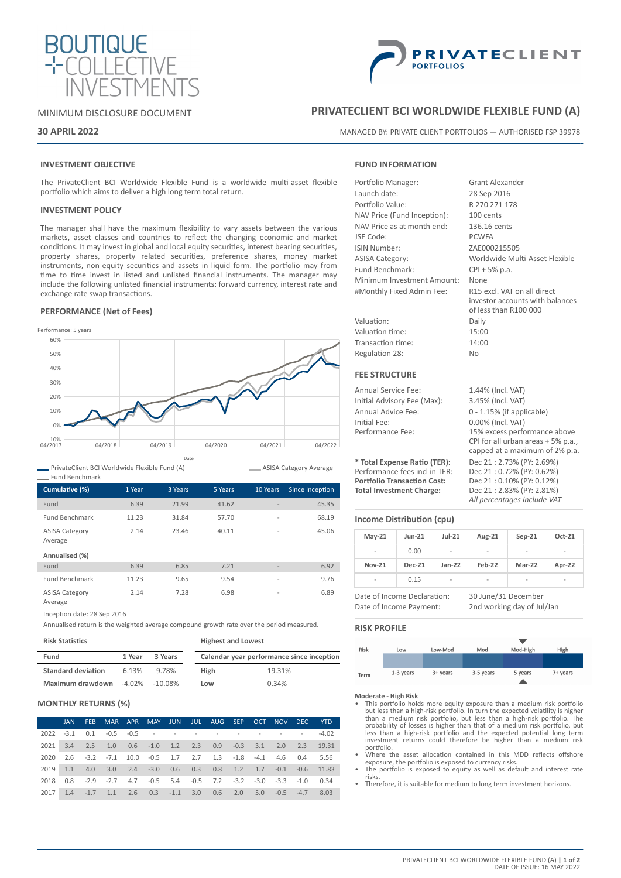

# MINIMUM DISCLOSURE DOCUMENT

## **30 APRIL 2022**

# **INVESTMENT OBJECTIVE**

The PrivateClient BCI Worldwide Flexible Fund is a worldwide multi-asset flexible portfolio which aims to deliver a high long term total return.

## **INVESTMENT POLICY**

The manager shall have the maximum flexibility to vary assets between the various markets, asset classes and countries to reflect the changing economic and market conditions. It may invest in global and local equity securities, interest bearing securities, property shares, property related securities, preference shares, money market instruments, non-equity securities and assets in liquid form. The portfolio may from time to time invest in listed and unlisted financial instruments. The manager may include the following unlisted financial instruments: forward currency, interest rate and exchange rate swap transactions.

## **PERFORMANCE (Net of Fees)**



PrivateClient BCI Worldwide Flexible Fund (A)

| <b>Fund Benchmark</b>            |        |         |         |                          |                 |
|----------------------------------|--------|---------|---------|--------------------------|-----------------|
| Cumulative (%)                   | 1 Year | 3 Years | 5 Years | 10 Years                 | Since Inception |
| Fund                             | 6.39   | 21.99   | 41.62   |                          | 45.35           |
| <b>Fund Benchmark</b>            | 11.23  | 31.84   | 57.70   | $\overline{\phantom{a}}$ | 68.19           |
| <b>ASISA Category</b><br>Average | 2.14   | 23.46   | 40.11   | $\overline{a}$           | 45.06           |
| Annualised (%)                   |        |         |         |                          |                 |
| Fund                             | 6.39   | 6.85    | 7.21    |                          | 6.92            |
| <b>Fund Benchmark</b>            | 11.23  | 9.65    | 9.54    | $\overline{\phantom{a}}$ | 9.76            |
| <b>ASISA Category</b><br>Average | 2.14   | 7.28    | 6.98    | $\overline{\phantom{a}}$ | 6.89            |

Inception date: 28 Sep 2016

Annualised return is the weighted average compound growth rate over the period measured.

#### **Risk Statistics**

| Fund                                  | 1 Year | 3 Years |             | Calendar year performance since inception |
|---------------------------------------|--------|---------|-------------|-------------------------------------------|
| <b>Standard deviation</b>             | 6.13%  | 9.78%   | <b>High</b> | 19.31%                                    |
| Maximum drawdown $-4.02\%$ $-10.08\%$ |        |         | Low         | 0.34%                                     |

**Highest and Lowest**

## **MONTHLY RETURNS (%)**

|      | JAN. | FEB MAR APR MAY JUN JUL AUG SEP OCT NOV DEC YTD                                        |  |  |  |  |  |
|------|------|----------------------------------------------------------------------------------------|--|--|--|--|--|
|      |      |                                                                                        |  |  |  |  |  |
|      |      | 2021 3.4 2.5 1.0 0.6 -1.0 1.2 2.3 0.9 -0.3 3.1 2.0 2.3 19.31                           |  |  |  |  |  |
|      |      | 2020  2.6  -3.2  -7.1  10.0  -0.5  1.7  2.7  1.3  -1.8  -4.1  4.6  0.4  5.56           |  |  |  |  |  |
|      |      | 2019 1.1 4.0 3.0 2.4 -3.0 0.6 0.3 0.8 1.2 1.7 -0.1 -0.6 11.83                          |  |  |  |  |  |
| 2018 |      | $0.8$ $-2.9$ $-2.7$ $4.7$ $-0.5$ $5.4$ $-0.5$ $7.2$ $-3.2$ $-3.0$ $-3.3$ $-1.0$ $0.34$ |  |  |  |  |  |
| 2017 |      | 1.4 -1.7 1.1 2.6 0.3 -1.1 3.0 0.6 2.0 5.0 -0.5 -4.7 8.03                               |  |  |  |  |  |



# **PRIVATECLIENT BCI WORLDWIDE FLEXIBLE FUND (A)**

MANAGED BY: PRIVATE CLIENT PORTFOLIOS — AUTHORISED FSP 39978

# **FUND INFORMATION**

| Portfolio Manager:          | Grant Alexander                                                                         |  |  |  |  |
|-----------------------------|-----------------------------------------------------------------------------------------|--|--|--|--|
| Launch date:                | 28 Sep 2016                                                                             |  |  |  |  |
| Portfolio Value:            | R 270 271 178                                                                           |  |  |  |  |
| NAV Price (Fund Inception): | 100 cents                                                                               |  |  |  |  |
| NAV Price as at month end:  | 136.16 cents                                                                            |  |  |  |  |
| JSE Code:                   | <b>PCWFA</b>                                                                            |  |  |  |  |
| ISIN Number:                | ZAE000215505                                                                            |  |  |  |  |
| <b>ASISA Category:</b>      | Worldwide Multi-Asset Flexible                                                          |  |  |  |  |
| Fund Benchmark:             | $CPI + 5% p.a.$                                                                         |  |  |  |  |
| Minimum Investment Amount:  | None                                                                                    |  |  |  |  |
| #Monthly Fixed Admin Fee:   | R15 excl. VAT on all direct<br>investor accounts with balances<br>of less than R100 000 |  |  |  |  |
| Valuation:                  | Daily                                                                                   |  |  |  |  |
| Valuation time:             | 15:00                                                                                   |  |  |  |  |
| Transaction time:           | 14:00                                                                                   |  |  |  |  |
| Regulation 28:              | No                                                                                      |  |  |  |  |
| <b>FEE STRUCTURE</b>        |                                                                                         |  |  |  |  |
| <b>Annual Service Fee:</b>  | 1.44% (Incl. VAT)                                                                       |  |  |  |  |
| Initial Advisory Fee (Max): | 3.45% (Incl. VAT)                                                                       |  |  |  |  |
| Annual Advice Fee:          | $0 - 1.15%$ (if applicable)                                                             |  |  |  |  |
| Initial Fee:                | 0.00% (Incl. VAT)                                                                       |  |  |  |  |

Performance Fee: 15% excess performance above

CPI for all urban areas + 5% p.a., capped at a maximum of 2% p.a.

**Portfolio Transaction Cost:** Dec 21 : 0.10% (PY: 0.12%)

*All percentages include VAT*

**\* Total Expense Ratio (TER):** Dec 21 : 2.73% (PY: 2.69%) Performance fees incl in TER:<br>Portfolio Transaction Cost: **Total Investment Charge:** Dec 21 : 2.83% (PY: 2.81%)

ASISA Category Average

# **Income Distribution (cpu)**

| $May-21$                                               | $Jun-21$      | $Jul-21$ | Aug-21                                            | $Sep-21$      | $Oct-21$ |
|--------------------------------------------------------|---------------|----------|---------------------------------------------------|---------------|----------|
|                                                        | 0.00          |          | $\overline{\phantom{a}}$                          |               |          |
| <b>Nov-21</b>                                          | <b>Dec-21</b> | $Jan-22$ | Feb-22                                            | <b>Mar-22</b> | Apr-22   |
|                                                        | 0.15          |          |                                                   |               |          |
| Date of Income Declaration:<br>Date of Income Payment: |               |          | 30 June/31 December<br>2nd working day of Jul/Jan |               |          |

### **RISK PROFILE**



**Moderate - High Risk**

- This portfolio holds more equity exposure than a medium risk portfolio but less than a high-risk portfolio. In turn the expected volatility is higher than a medium risk portfolio, but less than a high-risk portfolio. The probability of losses is higher than that of a medium risk portfolio, but less than a high-risk portfolio and the expected potential long term investment returns could therefore be higher than a medium risk portfolio.
- Where the asset allocation contained in this MDD reflects offshore exposure, the portfolio is exposed to currency risks. • The portfolio is exposed to equity as well as default and interest rate
- risks.
- Therefore, it is suitable for medium to long term investment horizons.